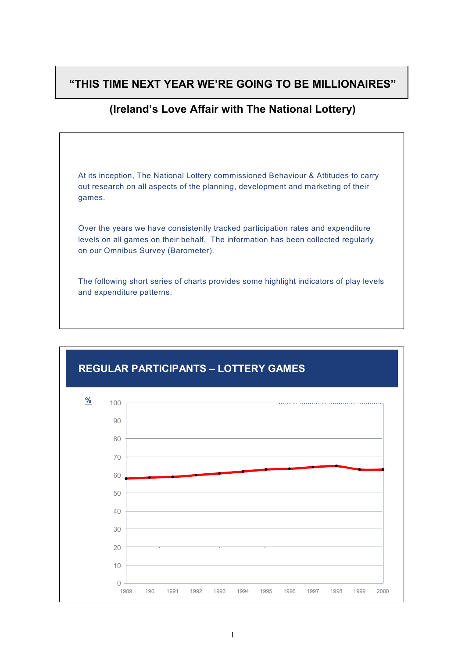# **"THIS TIME NEXT YEAR WE'RE GOING TO BE MILLIONAIRES"**

# **(Ireland's Love Affair with The National Lottery)**



and expenditure patterns.



### **REGULAR PARTICIPANTS – LOTTERY GAMES**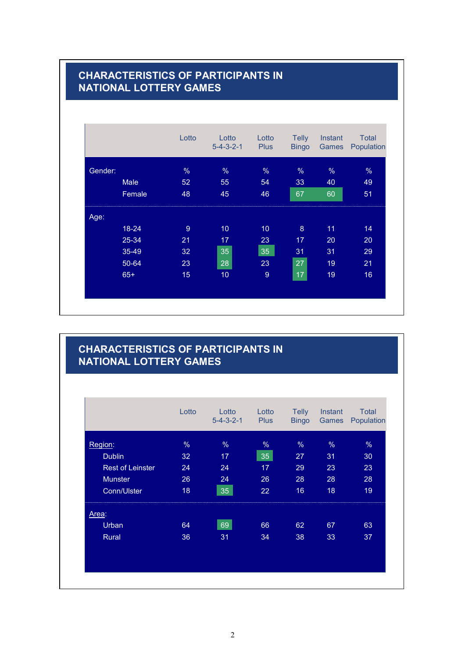# **CHARACTERISTICS OF PARTICIPANTS IN NATIONAL LOTTERY GAMES**

|         |             | Lotto         | Lotto<br>$5 - 4 - 3 - 2 - 1$ | Lotto<br><b>Plus</b> | Telly<br><b>Bingo</b> | <b>Instant</b><br>Games | <b>Total</b><br>Population |
|---------|-------------|---------------|------------------------------|----------------------|-----------------------|-------------------------|----------------------------|
| Gender: |             | $\frac{0}{6}$ | %                            | $\frac{9}{6}$        | %                     | %                       | %                          |
|         | <b>Male</b> | 52            | 55                           | 54                   | 33                    | 40                      | 49                         |
|         | Female      | 48            | 45                           | 46                   | 67                    | 60                      | 51                         |
| Age:    |             |               |                              |                      |                       |                         |                            |
|         | $18 - 24$   | 9             | 10                           | 10 <sub>1</sub>      | $\boldsymbol{8}$      | 11                      | 14                         |
|         | 25-34       | 21            | 17                           | 23                   | 17                    | 20                      | 20                         |
|         | 35-49       | 32            | 35                           | 35                   | 31                    | 31                      | 29                         |
|         | 50-64       | 23            | 28                           | 23                   | 27                    | 19                      | 21                         |
|         | $65+$       | 15            | 10                           | $\boldsymbol{9}$     | 17                    | 19                      | 16                         |

#### **CHARACTERISTICS OF PARTICIPANTS IN NATIONAL LOTTERY GAMES**

|                         | Lotto | Lotto<br>$5 - 4 - 3 - 2 - 1$ | Lotto<br><b>Plus</b> | <b>Telly</b><br><b>Bingo</b> | Instant<br>Games | <b>Total</b><br>Population |
|-------------------------|-------|------------------------------|----------------------|------------------------------|------------------|----------------------------|
| Region:                 | %     | %                            | %                    | %                            | %                | %                          |
| <b>Dublin</b>           | 32    | 17                           | 35                   | 27                           | 31               | 30                         |
| <b>Rest of Leinster</b> | 24    | 24                           | 17                   | 29                           | 23               | 23                         |
| <b>Munster</b>          | 26    | 24                           | 26                   | 28                           | 28               | 28                         |
| Conn/Ulster             | 18    | 35                           | 22                   | 16                           | 18               | 19                         |
| Area:                   |       |                              |                      |                              |                  |                            |
| Urban                   | 64    | 69                           | 66                   | 62                           | 67               | 63                         |
| Rural                   | 36    | 31                           | 34                   | 38                           | 33               | 37                         |
|                         |       |                              |                      |                              |                  |                            |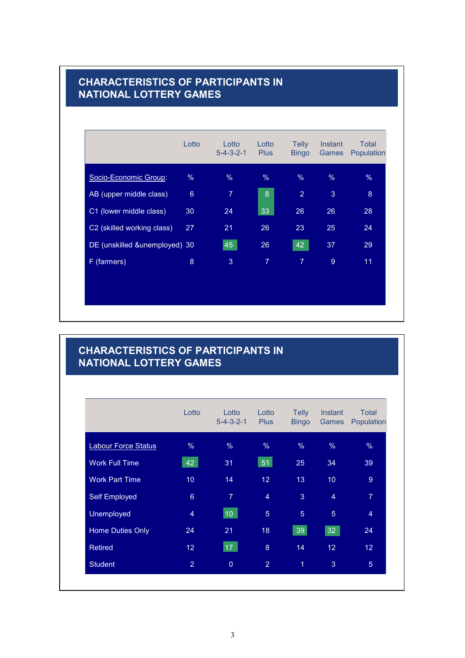#### **CHARACTERISTICS OF PARTICIPANTS IN NATIONAL LOTTERY GAMES**

|                               | Lotto           | Lotto<br>$5 - 4 - 3 - 2 - 1$ | Lotto<br><b>Plus</b> | <b>Telly</b><br><b>Bingo</b> | Instant<br><b>Games</b> | Total<br>Population |
|-------------------------------|-----------------|------------------------------|----------------------|------------------------------|-------------------------|---------------------|
| Socio-Economic Group:         | %               | %                            | %                    | %                            | %                       | %                   |
| AB (upper middle class)       | $6\phantom{1}6$ | $\overline{7}$               | 8                    | 2                            | 3                       | $\boldsymbol{8}$    |
| C1 (lower middle class)       | 30              | 24                           | 33                   | 26                           | 26                      | 28                  |
| C2 (skilled working class)    | 27              | 21                           | 26                   | 23                           | 25                      | 24                  |
| DE (unskilled &unemployed) 30 |                 | 45                           | 26                   | 42                           | 37                      | 29                  |
| F (farmers)                   | 8               | 3                            | $\overline{7}$       | $\overline{7}$               | 9                       | 11                  |
|                               |                 |                              |                      |                              |                         |                     |

# **CHARACTERISTICS OF PARTICIPANTS IN NATIONAL LOTTERY GAMES**

|                            | Lotto           | Lotto<br>$5 - 4 - 3 - 2 - 1$ | Lotto<br><b>Plus</b> | <b>Telly</b><br><b>Bingo</b> | Instant<br>Games | <b>Total</b><br>Population |
|----------------------------|-----------------|------------------------------|----------------------|------------------------------|------------------|----------------------------|
| <b>Labour Force Status</b> | %               | $\%$                         | $\%$                 | $\frac{0}{6}$                | $\frac{0}{6}$    | $\%$                       |
| <b>Work Full Time</b>      | 42              | 31                           | 51                   | 25                           | 34               | 39                         |
| <b>Work Part Time</b>      | 10              | 14                           | 12                   | 13                           | 10 <sup>°</sup>  | 9                          |
| Self Employed              | $6\phantom{1}$  | $\overline{7}$               | $\overline{4}$       | 3                            | $\overline{4}$   | $\overline{7}$             |
| <b>Unemployed</b>          | $\overline{4}$  | $ 10\rangle$                 | $\overline{5}$       | 5                            | $\overline{5}$   | $\overline{4}$             |
| <b>Home Duties Only</b>    | 24              | 21                           | 18                   | 39                           | 32               | 24                         |
| <b>Retired</b>             | 12 <sup>°</sup> | 17 <sup>2</sup>              | 8                    | 14                           | 12 <sup>°</sup>  | 12 <sup>°</sup>            |
| <b>Student</b>             | $\overline{2}$  | $\overline{0}$               | $\overline{2}$       | $\overline{1}$               | 3                | $\overline{5}$             |
|                            |                 |                              |                      |                              |                  |                            |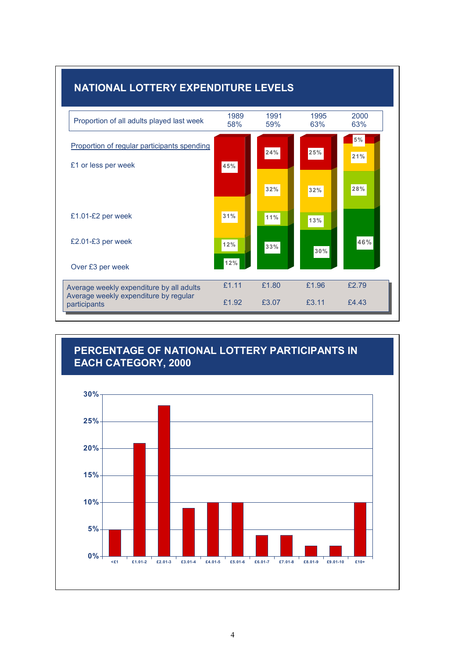



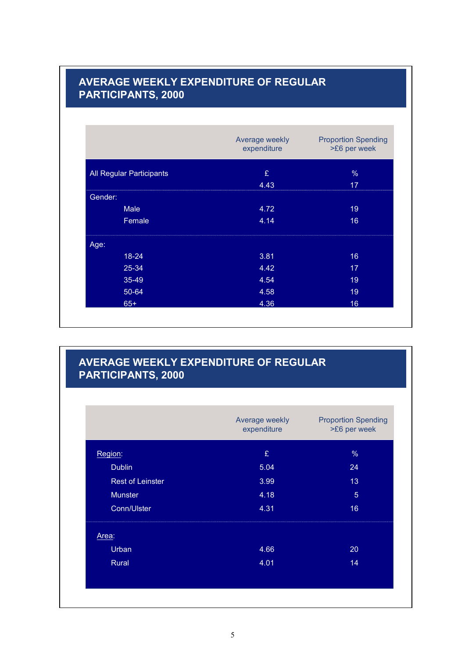### **AVERAGE WEEKLY EXPENDITURE OF REGULAR PARTICIPANTS, 2000**

|         |                          | Average weekly<br>expenditure | <b>Proportion Spending</b><br>>£6 per week |
|---------|--------------------------|-------------------------------|--------------------------------------------|
|         | All Regular Participants | £                             | $\%$                                       |
|         |                          | 4.43                          | 17                                         |
| Gender: |                          |                               |                                            |
|         | <b>Male</b>              | 4.72                          | 19                                         |
|         | Female                   | 4.14                          | 16                                         |
| Age:    |                          |                               |                                            |
|         | $18 - 24$                | 3.81                          | 16                                         |
|         | 25-34                    | 4.42                          | 17                                         |
|         | 35-49                    | 4.54                          | 19                                         |
|         | 50-64                    | 4.58                          | 19                                         |
|         | $65+$                    | 4.36                          | 16                                         |

### **AVERAGE WEEKLY EXPENDITURE OF REGULAR PARTICIPANTS, 2000**

|                         | Average weekly<br>expenditure | <b>Proportion Spending</b><br>>£6 per week |
|-------------------------|-------------------------------|--------------------------------------------|
| Region:                 | £                             | %                                          |
| <b>Dublin</b>           | 5.04                          | 24                                         |
| <b>Rest of Leinster</b> | 3.99                          | 13                                         |
| <b>Munster</b>          | 4.18                          | $\overline{5}$                             |
| Conn/Ulster             | 4.31                          | 16                                         |
| Area:                   |                               |                                            |
| Urban                   | 4.66                          | 20                                         |
| Rural                   | 4.01                          | 14                                         |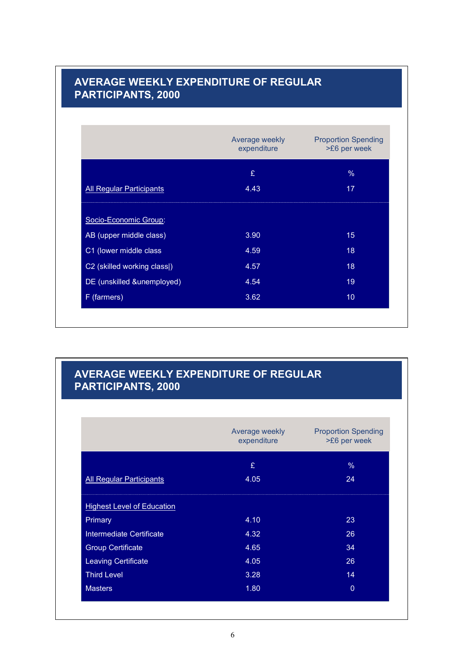# **AVERAGE WEEKLY EXPENDITURE OF REGULAR PARTICIPANTS, 2000**

|                                 | Average weekly<br>expenditure | <b>Proportion Spending</b><br>>£6 per week |
|---------------------------------|-------------------------------|--------------------------------------------|
|                                 | £                             | $\%$                                       |
| <b>All Regular Participants</b> | 4.43                          | 17                                         |
| Socio-Economic Group:           |                               |                                            |
| AB (upper middle class)         | 3.90                          | 15                                         |
| C1 (lower middle class          | 4.59                          | 18                                         |
| C2 (skilled working class))     | 4.57                          | 18                                         |
| DE (unskilled &unemployed)      | 4.54                          | 19                                         |
| F (farmers)                     | 3.62                          | 10 <sup>°</sup>                            |

### **AVERAGE WEEKLY EXPENDITURE OF REGULAR PARTICIPANTS, 2000**

|                                   | Average weekly<br>expenditure | <b>Proportion Spending</b><br>>£6 per week |
|-----------------------------------|-------------------------------|--------------------------------------------|
|                                   | £                             | %                                          |
| <b>All Regular Participants</b>   | 4.05                          | 24                                         |
| <b>Highest Level of Education</b> |                               |                                            |
| Primary                           | 4.10                          | 23                                         |
| Intermediate Certificate          | 4.32                          | 26                                         |
| <b>Group Certificate</b>          | 4.65                          | 34                                         |
| <b>Leaving Certificate</b>        | 4.05                          | 26                                         |
| <b>Third Level</b>                | 3.28                          | 14                                         |
| <b>Masters</b>                    | 1.80                          | $\overline{0}$                             |